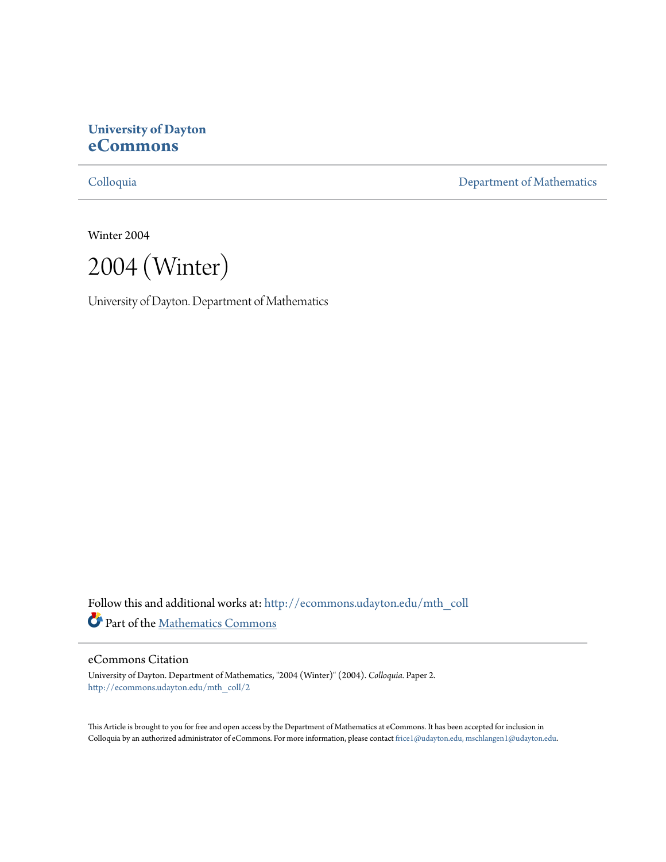# **University of Dayton [eCommons](http://ecommons.udayton.edu?utm_source=ecommons.udayton.edu%2Fmth_coll%2F2&utm_medium=PDF&utm_campaign=PDFCoverPages)**

[Colloquia](http://ecommons.udayton.edu/mth_coll?utm_source=ecommons.udayton.edu%2Fmth_coll%2F2&utm_medium=PDF&utm_campaign=PDFCoverPages) [Department of Mathematics](http://ecommons.udayton.edu/mth?utm_source=ecommons.udayton.edu%2Fmth_coll%2F2&utm_medium=PDF&utm_campaign=PDFCoverPages)

Winter 2004

2004 (Winter)

University of Dayton. Department of Mathematics

Follow this and additional works at: [http://ecommons.udayton.edu/mth\\_coll](http://ecommons.udayton.edu/mth_coll?utm_source=ecommons.udayton.edu%2Fmth_coll%2F2&utm_medium=PDF&utm_campaign=PDFCoverPages) Part of the [Mathematics Commons](http://network.bepress.com/hgg/discipline/174?utm_source=ecommons.udayton.edu%2Fmth_coll%2F2&utm_medium=PDF&utm_campaign=PDFCoverPages)

#### eCommons Citation

University of Dayton. Department of Mathematics, "2004 (Winter)" (2004). *Colloquia.* Paper 2. [http://ecommons.udayton.edu/mth\\_coll/2](http://ecommons.udayton.edu/mth_coll/2?utm_source=ecommons.udayton.edu%2Fmth_coll%2F2&utm_medium=PDF&utm_campaign=PDFCoverPages)

This Article is brought to you for free and open access by the Department of Mathematics at eCommons. It has been accepted for inclusion in Colloquia by an authorized administrator of eCommons. For more information, please contact [frice1@udayton.edu, mschlangen1@udayton.edu.](mailto:frice1@udayton.edu,%20mschlangen1@udayton.edu)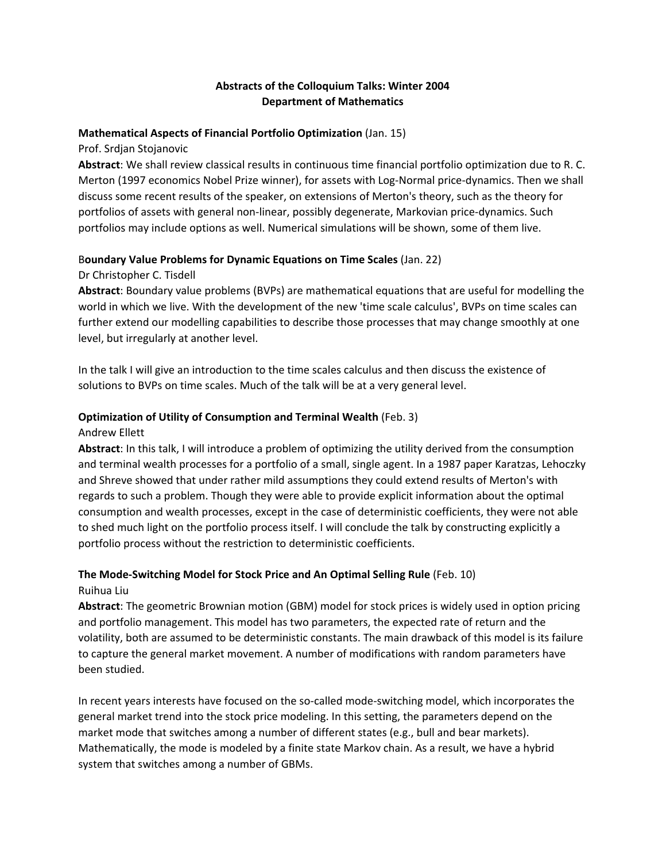# **Abstracts of the Colloquium Talks: Winter 2004 Department of Mathematics**

#### **Mathematical Aspects of Financial Portfolio Optimization** (Jan. 15)

Prof. Srdjan Stojanovic

**Abstract**: We shall review classical results in continuous time financial portfolio optimization due to R. C. Merton (1997 economics Nobel Prize winner), for assets with Log‐Normal price‐dynamics. Then we shall discuss some recent results of the speaker, on extensions of Merton's theory, such as the theory for portfolios of assets with general non‐linear, possibly degenerate, Markovian price‐dynamics. Such portfolios may include options as well. Numerical simulations will be shown, some of them live.

### B**oundary Value Problems for Dynamic Equations on Time Scales** (Jan. 22)

Dr Christopher C. Tisdell

**Abstract**: Boundary value problems (BVPs) are mathematical equations that are useful for modelling the world in which we live. With the development of the new 'time scale calculus', BVPs on time scales can further extend our modelling capabilities to describe those processes that may change smoothly at one level, but irregularly at another level.

In the talk I will give an introduction to the time scales calculus and then discuss the existence of solutions to BVPs on time scales. Much of the talk will be at a very general level.

#### **Optimization of Utility of Consumption and Terminal Wealth** (Feb. 3)

#### Andrew Ellett

**Abstract**: In this talk, I will introduce a problem of optimizing the utility derived from the consumption and terminal wealth processes for a portfolio of a small, single agent. In a 1987 paper Karatzas, Lehoczky and Shreve showed that under rather mild assumptions they could extend results of Merton's with regards to such a problem. Though they were able to provide explicit information about the optimal consumption and wealth processes, except in the case of deterministic coefficients, they were not able to shed much light on the portfolio process itself. I will conclude the talk by constructing explicitly a portfolio process without the restriction to deterministic coefficients.

## **The Mode‐Switching Model for Stock Price and An Optimal Selling Rule** (Feb. 10) Ruihua Liu

**Abstract**: The geometric Brownian motion (GBM) model for stock prices is widely used in option pricing and portfolio management. This model has two parameters, the expected rate of return and the volatility, both are assumed to be deterministic constants. The main drawback of this model is its failure to capture the general market movement. A number of modifications with random parameters have been studied.

In recent years interests have focused on the so-called mode-switching model, which incorporates the general market trend into the stock price modeling. In this setting, the parameters depend on the market mode that switches among a number of different states (e.g., bull and bear markets). Mathematically, the mode is modeled by a finite state Markov chain. As a result, we have a hybrid system that switches among a number of GBMs.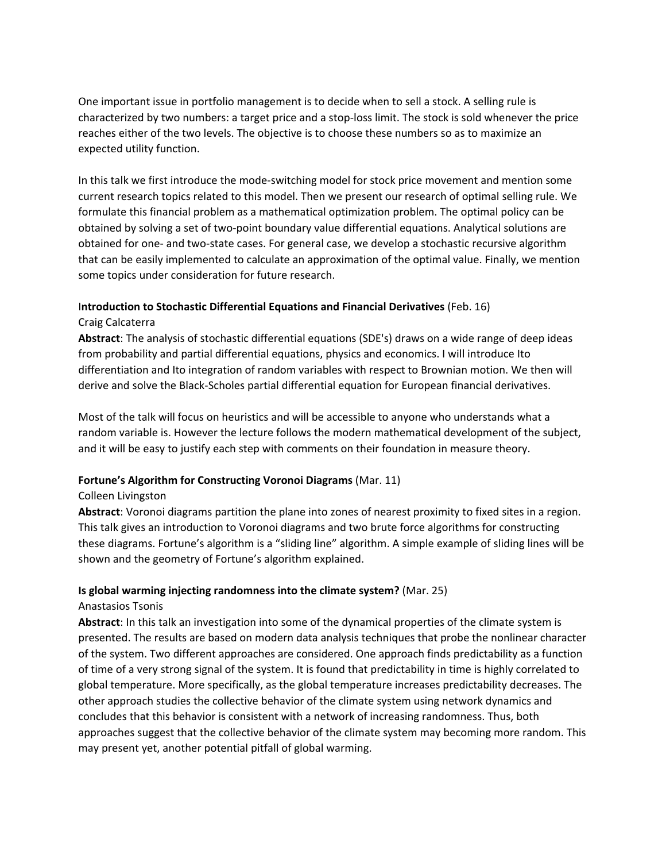One important issue in portfolio management is to decide when to sell a stock. A selling rule is characterized by two numbers: a target price and a stop‐loss limit. The stock is sold whenever the price reaches either of the two levels. The objective is to choose these numbers so as to maximize an expected utility function.

In this talk we first introduce the mode‐switching model for stock price movement and mention some current research topics related to this model. Then we present our research of optimal selling rule. We formulate this financial problem as a mathematical optimization problem. The optimal policy can be obtained by solving a set of two‐point boundary value differential equations. Analytical solutions are obtained for one‐ and two‐state cases. For general case, we develop a stochastic recursive algorithm that can be easily implemented to calculate an approximation of the optimal value. Finally, we mention some topics under consideration for future research.

## I**ntroduction to Stochastic Differential Equations and Financial Derivatives** (Feb. 16)

### Craig Calcaterra

**Abstract**: The analysis of stochastic differential equations (SDE's) draws on a wide range of deep ideas from probability and partial differential equations, physics and economics. I will introduce Ito differentiation and Ito integration of random variables with respect to Brownian motion. We then will derive and solve the Black‐Scholes partial differential equation for European financial derivatives.

Most of the talk will focus on heuristics and will be accessible to anyone who understands what a random variable is. However the lecture follows the modern mathematical development of the subject, and it will be easy to justify each step with comments on their foundation in measure theory.

# **Fortune's Algorithm for Constructing Voronoi Diagrams** (Mar. 11)

### Colleen Livingston

**Abstract**: Voronoi diagrams partition the plane into zones of nearest proximity to fixed sites in a region. This talk gives an introduction to Voronoi diagrams and two brute force algorithms for constructing these diagrams. Fortune's algorithm is a "sliding line" algorithm. A simple example of sliding lines will be shown and the geometry of Fortune's algorithm explained.

### **Is global warming injecting randomness into the climate system?** (Mar. 25)

### Anastasios Tsonis

**Abstract**: In this talk an investigation into some of the dynamical properties of the climate system is presented. The results are based on modern data analysis techniques that probe the nonlinear character of the system. Two different approaches are considered. One approach finds predictability as a function of time of a very strong signal of the system. It is found that predictability in time is highly correlated to global temperature. More specifically, as the global temperature increases predictability decreases. The other approach studies the collective behavior of the climate system using network dynamics and concludes that this behavior is consistent with a network of increasing randomness. Thus, both approaches suggest that the collective behavior of the climate system may becoming more random. This may present yet, another potential pitfall of global warming.